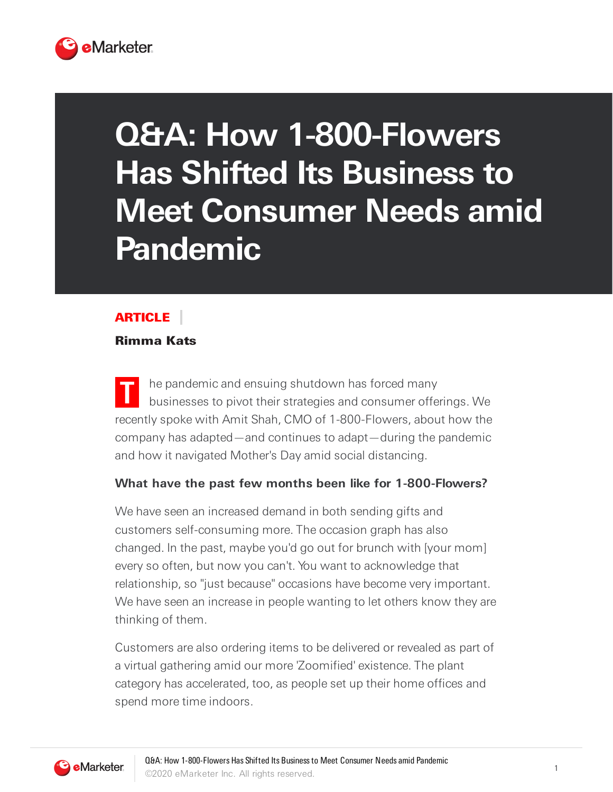

# **Q&A: How 1-800-Flowers Has Shifted Its Business to Meet Consumer Needs amid Pandemic**

## **ARTICLE**

#### Rimma Kats

**T** he pandemic and ensuing shutdown has forced many businesses to pivot their strategies and consumer offerings. We recently spoke with Amit Shah, CMO of 1-800-Flowers, about how the company has adapted—and continues to adapt—during the pandemic and how it navigated Mother's Day amid social distancing.

#### **What have the past few months been like for 1-800-Flowers?**

We have seen an increased demand in both sending gifts and customers self-consuming more. The occasion graph has also changed. In the past, maybe you'd go out for brunch with [your mom] every so often, but now you can't. You want to acknowledge that relationship, so "just because" occasions have become very important. We have seen an increase in people wanting to let others know they are thinking of them.

Customers are also ordering items to be delivered or revealed as part of a virtual gathering amid our more 'Zoomified' existence. The plant category has accelerated, too, as people set up their home offices and spend more time indoors.

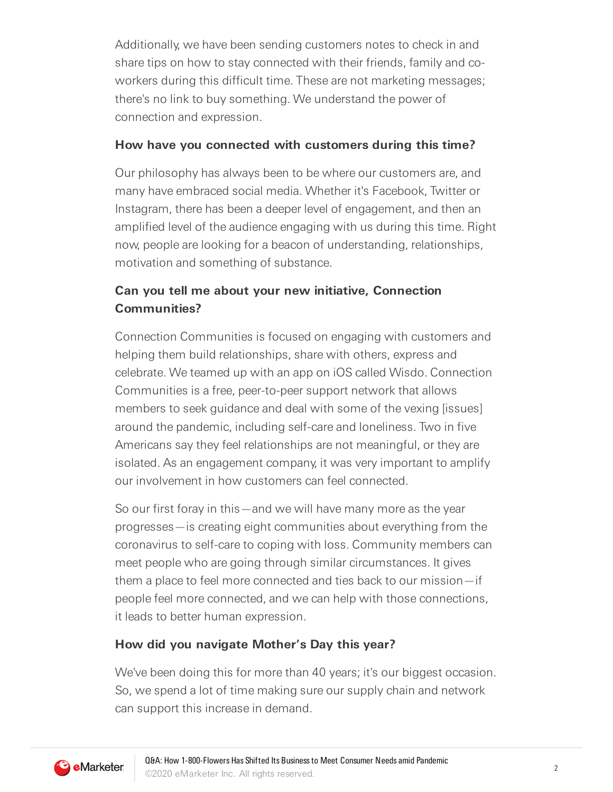Additionally, we have been sending customers notes to check in and share tips on how to stay connected with their friends, family and coworkers during this difficult time. These are not marketing messages; there's no link to buy something. We understand the power of connection and expression.

#### **How have you connected with customers during this time?**

Our philosophy has always been to be where our customers are, and many have embraced social media. Whether it's Facebook, Twitter or Instagram, there has been a deeper level of engagement, and then an amplified level of the audience engaging with us during this time. Right now, people are looking for a beacon of understanding, relationships, motivation and something of substance.

## **Can you tell me about your new initiative, Connection Communities?**

Connection Communities is focused on engaging with customers and helping them build relationships, share with others, express and celebrate. We teamed up with an app on iOS called Wisdo. Connection Communities is a free, peer-to-peer support network that allows members to seek guidance and deal with some of the vexing [issues] around the pandemic, including self-care and loneliness. Two in five Americans say they feel relationships are not meaningful, or they are isolated. As an engagement company, it was very important to amplify our involvement in how customers can feel connected.

So our first foray in this—and we will have many more as the year progresses—is creating eight communities about everything from the coronavirus to self-care to coping with loss. Community members can meet people who are going through similar circumstances. It gives them a place to feel more connected and ties back to our mission—if people feel more connected, and we can help with those connections, it leads to better human expression.

### **How did you navigate Mother's Day this year?**

We've been doing this for more than 40 years; it's our biggest occasion. So, we spend a lot of time making sure our supply chain and network can support this increase in demand.